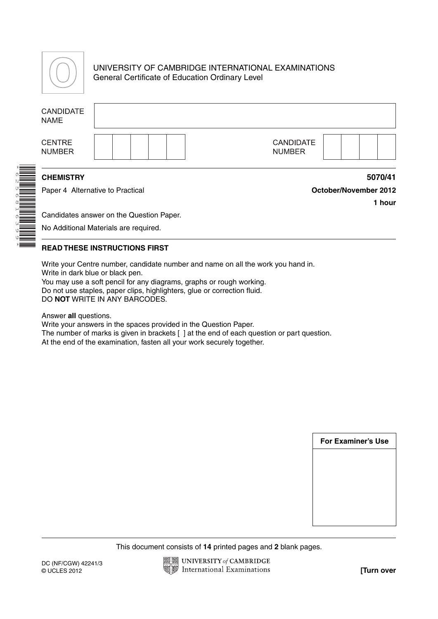

\*6256816399\*

# UNIVERSITY OF CAMBRIDGE INTERNATIONAL EXAMINATIONS General Certificate of Education Ordinary Level

| <b>CANDIDATE</b><br><b>NAME</b> |                                          |                                   |
|---------------------------------|------------------------------------------|-----------------------------------|
| <b>CENTRE</b><br><b>NUMBER</b>  |                                          | <b>CANDIDATE</b><br><b>NUMBER</b> |
|                                 |                                          |                                   |
| <b>CHEMISTRY</b>                |                                          | 5070/41                           |
|                                 | Paper 4 Alternative to Practical         | October/November 2012             |
|                                 |                                          | 1 hour                            |
|                                 | Candidates answer on the Question Paper. |                                   |
|                                 | No Additional Materials are required.    |                                   |
|                                 |                                          |                                   |

#### **READ THESE INSTRUCTIONS FIRST**

Write your Centre number, candidate number and name on all the work you hand in. Write in dark blue or black pen.

You may use a soft pencil for any diagrams, graphs or rough working. Do not use staples, paper clips, highlighters, glue or correction fluid. DO **NOT** WRITE IN ANY BARCODES.

Answer **all** questions.

Write your answers in the spaces provided in the Question Paper.

The number of marks is given in brackets [ ] at the end of each question or part question. At the end of the examination, fasten all your work securely together.

| <b>For Examiner's Use</b> |  |
|---------------------------|--|
|                           |  |
|                           |  |
|                           |  |
|                           |  |
|                           |  |

This document consists of **14** printed pages and **2** blank pages.

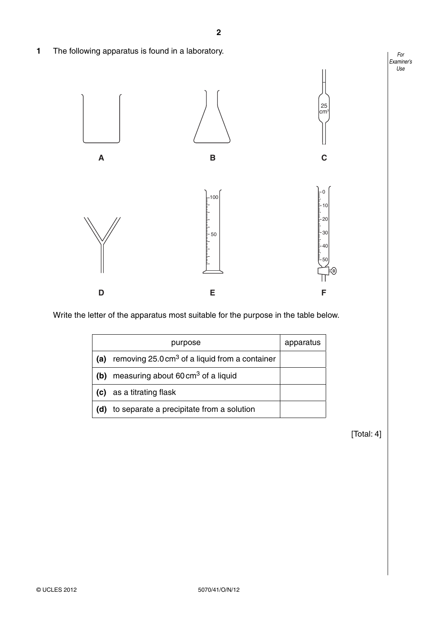

Write the letter of the apparatus most suitable for the purpose in the table below.

|     | purpose                                                   | apparatus |
|-----|-----------------------------------------------------------|-----------|
| (a) | removing $25.0 \text{ cm}^3$ of a liquid from a container |           |
| (b) | measuring about 60 cm <sup>3</sup> of a liquid            |           |
|     | (c) as a titrating flask                                  |           |
| (d) | to separate a precipitate from a solution                 |           |

[Total: 4]

*For Examiner's Use*

**2**

**1** The following apparatus is found in a laboratory.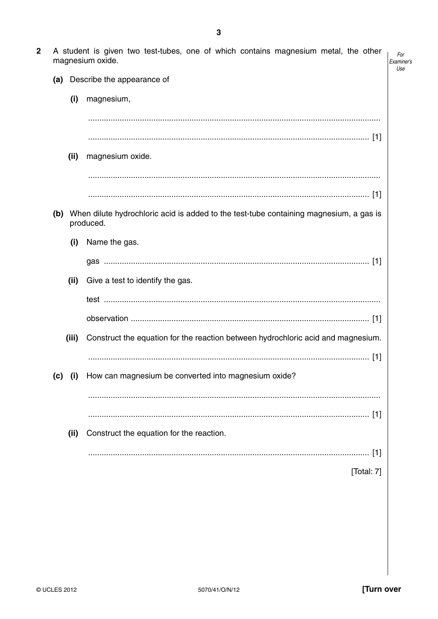| $\mathbf{2}$ |                                | A student is given two test-tubes, one of which contains magnesium metal, the other<br>magnesium oxide. |                                                                                                         |  |  |  |
|--------------|--------------------------------|---------------------------------------------------------------------------------------------------------|---------------------------------------------------------------------------------------------------------|--|--|--|
|              | (a) Describe the appearance of |                                                                                                         |                                                                                                         |  |  |  |
|              |                                | (i)                                                                                                     | magnesium,                                                                                              |  |  |  |
|              |                                |                                                                                                         |                                                                                                         |  |  |  |
|              |                                |                                                                                                         |                                                                                                         |  |  |  |
|              |                                | (ii)                                                                                                    | magnesium oxide.                                                                                        |  |  |  |
|              |                                |                                                                                                         |                                                                                                         |  |  |  |
|              |                                |                                                                                                         |                                                                                                         |  |  |  |
|              |                                |                                                                                                         | (b) When dilute hydrochloric acid is added to the test-tube containing magnesium, a gas is<br>produced. |  |  |  |
|              |                                | (i)                                                                                                     | Name the gas.                                                                                           |  |  |  |
|              |                                |                                                                                                         |                                                                                                         |  |  |  |
|              |                                | (ii)                                                                                                    | Give a test to identify the gas.                                                                        |  |  |  |
|              |                                |                                                                                                         |                                                                                                         |  |  |  |
|              |                                |                                                                                                         |                                                                                                         |  |  |  |
|              |                                | (iii)                                                                                                   | Construct the equation for the reaction between hydrochloric acid and magnesium.                        |  |  |  |
|              |                                |                                                                                                         |                                                                                                         |  |  |  |
|              | $(c)$ (i)                      |                                                                                                         | How can magnesium be converted into magnesium oxide?                                                    |  |  |  |
|              |                                |                                                                                                         |                                                                                                         |  |  |  |
|              |                                |                                                                                                         |                                                                                                         |  |  |  |
|              |                                | (ii)                                                                                                    | Construct the equation for the reaction.                                                                |  |  |  |
|              |                                |                                                                                                         |                                                                                                         |  |  |  |
|              |                                |                                                                                                         | [Total: 7]                                                                                              |  |  |  |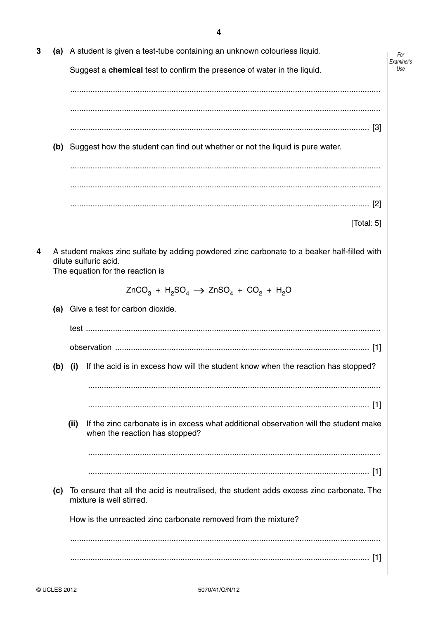3 (a) A student is given a test-tube containing an unknown colourless liquid. Examiner's Suggest a chemical test to confirm the presence of water in the liquid. (b) Suggest how the student can find out whether or not the liquid is pure water.  $[Total: 5]$ A student makes zinc sulfate by adding powdered zinc carbonate to a beaker half-filled with 4 dilute sulfuric acid. The equation for the reaction is  $ZnCO<sub>3</sub> + H<sub>2</sub>SO<sub>4</sub> \rightarrow ZnSO<sub>4</sub> + CO<sub>2</sub> + H<sub>2</sub>O$ (a) Give a test for carbon dioxide. (b) (i) If the acid is in excess how will the student know when the reaction has stopped? If the zinc carbonate is in excess what additional observation will the student make  $(ii)$ when the reaction has stopped? (c) To ensure that all the acid is neutralised, the student adds excess zinc carbonate. The mixture is well stirred. How is the unreacted zinc carbonate removed from the mixture? 

 $For$ 

Use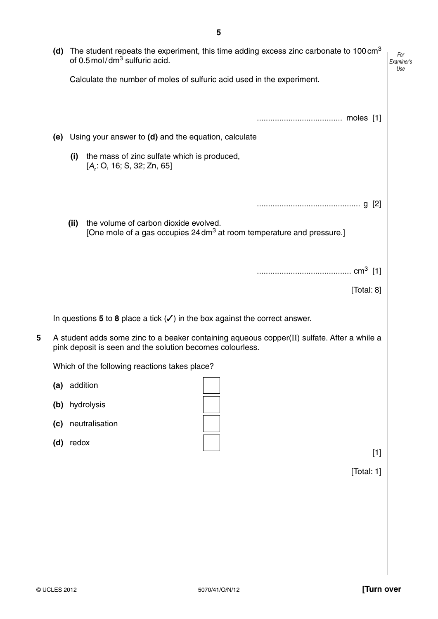**5**

 **(d)** The student repeats the experiment, this time adding excess zinc carbonate to 100 cm3 of  $0.5 \text{ mol/dm}^3$  sulfuric acid. Calculate the number of moles of sulfuric acid used in the experiment. ...................................... moles [1]  **(e)** Using your answer to **(d)** and the equation, calculate  **(i)** the mass of zinc sulfate which is produced, [*A*<sup>r</sup> : O, 16; S, 32; Zn, 65] .............................................. g [2]  **(ii)** the volume of carbon dioxide evolved. [One mole of a gas occupies 24 dm3 at room temperature and pressure.] .......................................... cm3 [1] [Total: 8] In questions **5** to **8** place a tick  $(\checkmark)$  in the box against the correct answer. **5** A student adds some zinc to a beaker containing aqueous copper(II) sulfate. After a while a pink deposit is seen and the solution becomes colourless. Which of the following reactions takes place?  **(a)** addition  **(b)** hydrolysis  **(c)** neutralisation  **(d)** redox [1] [Total: 1]

*For Examiner's Use*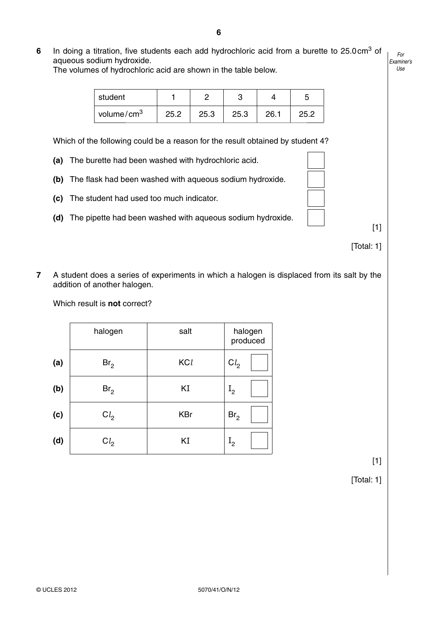**6** In doing a titration, five students each add hydrochloric acid from a burette to 25.0 cm3 of aqueous sodium hydroxide.

The volumes of hydrochloric acid are shown in the table below.

| student                |      |      |      |      |      |
|------------------------|------|------|------|------|------|
| volume/cm <sup>3</sup> | 25.2 | 25.3 | 25.3 | 26.1 | 25.2 |

Which of the following could be a reason for the result obtained by student 4?

- **(a)** The burette had been washed with hydrochloric acid.
- **(b)** The flask had been washed with aqueous sodium hydroxide.
- **(c)** The student had used too much indicator.
- **(d)** The pipette had been washed with aqueous sodium hydroxide.

[1] [Total: 1]

**7** A student does a series of experiments in which a halogen is displaced from its salt by the addition of another halogen.

Which result is **not** correct?

|     | halogen         | salt       | halogen<br>produced |
|-----|-----------------|------------|---------------------|
| (a) | Br <sub>2</sub> | <b>KCl</b> | Cl <sub>2</sub>     |
| (b) | Br <sub>2</sub> | ΚI         | I <sub>2</sub>      |
| (c) | Cl <sub>2</sub> | <b>KBr</b> | Br <sub>2</sub>     |
| (d) | Cl <sub>2</sub> | ΚI         | $I_{2}$             |

[1]

[Total: 1]

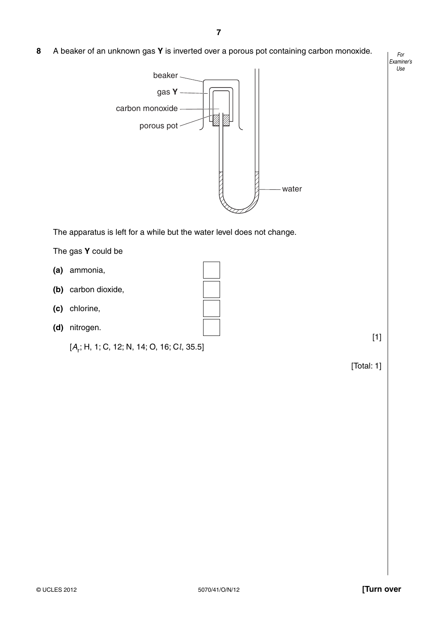**8** A beaker of an unknown gas **Y** is inverted over a porous pot containing carbon monoxide.



The apparatus is left for a while but the water level does not change.

The gas **Y** could be

- **(a)** ammonia,
- **(b)** carbon dioxide,
- **(c)** chlorine,
- **(d)** nitrogen.

[*A*<sup>r</sup> ; H, 1; C, 12; N, 14; O, 16; C*l*, 35.5]

[1]

*For Examiner's Use*

[Total: 1]

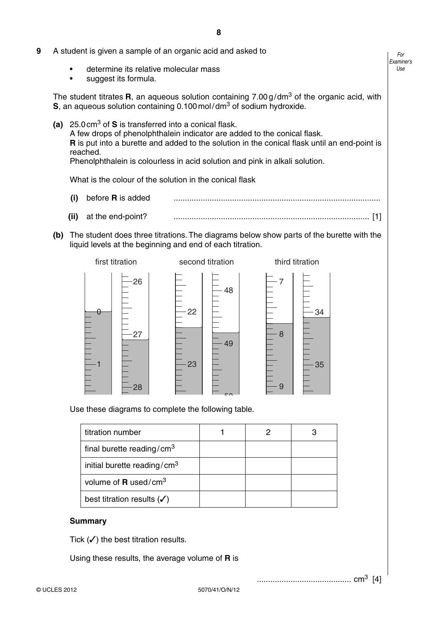*For Examiner's Use* **9** A student is given a sample of an organic acid and asked to • determine its relative molecular mass • suggest its formula. The student titrates **R**, an aqueous solution containing  $7.00 \frac{\text{q}}{\text{dm}^3}$  of the organic acid, with **S**, an aqueous solution containing 0.100 mol/dm<sup>3</sup> of sodium hydroxide.  **(a)** 25.0 cm3 of **S** is transferred into a conical flask. A few drops of phenolphthalein indicator are added to the conical flask.  **R** is put into a burette and added to the solution in the conical flask until an end-point is reached. Phenolphthalein is colourless in acid solution and pink in alkali solution. What is the colour of the solution in the conical flask  **(i)** before **R** is added ............................................................................................  **(ii)** at the end-point? ....................................................................................... [1]  **(b)** The student does three titrations. The diagrams below show parts of the burette with the liquid levels at the beginning and end of each titration. first titration 1 28 27 22 23 48 49  $\overline{\phantom{a}}$ 7 8 34 35 9 26  $\theta$ second titration **third titration** Use these diagrams to complete the following table.  $\left| \right|$  titration number  $\left| \right|$  1  $\left| \right|$  2  $\left| \right|$  3

| final burette reading/ $cm3$            |  |  |
|-----------------------------------------|--|--|
| initial burette reading/ $cm3$          |  |  |
| volume of <b>R</b> used/cm <sup>3</sup> |  |  |
| best titration results $(\checkmark)$   |  |  |

#### **Summary**

Tick  $(\checkmark)$  the best titration results.

Using these results, the average volume of **R** is

© UCLES 2012 5070/41/O/N/12

.......................................... cm3 [4]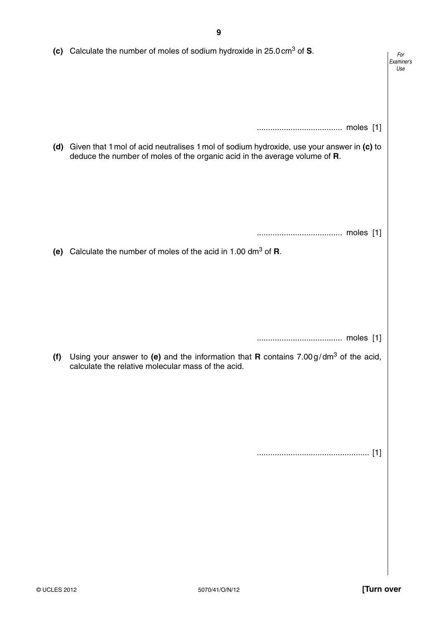|     | (c) Calculate the number of moles of sodium hydroxide in $25.0 \text{ cm}^3$ of S.                                                                                          | For<br>Examiner's<br>Use |
|-----|-----------------------------------------------------------------------------------------------------------------------------------------------------------------------------|--------------------------|
|     |                                                                                                                                                                             |                          |
|     |                                                                                                                                                                             |                          |
|     | (d) Given that 1 mol of acid neutralises 1 mol of sodium hydroxide, use your answer in (c) to<br>deduce the number of moles of the organic acid in the average volume of R. |                          |
|     |                                                                                                                                                                             |                          |
|     |                                                                                                                                                                             |                          |
|     | (e) Calculate the number of moles of the acid in 1.00 dm <sup>3</sup> of $\mathbb{R}$ .                                                                                     |                          |
|     |                                                                                                                                                                             |                          |
|     |                                                                                                                                                                             |                          |
|     |                                                                                                                                                                             |                          |
|     |                                                                                                                                                                             |                          |
|     |                                                                                                                                                                             |                          |
| (f) | Using your answer to (e) and the information that $\bf R$ contains 7.00g/dm <sup>3</sup> of the acid,<br>calculate the relative molecular mass of the acid.                 |                          |
|     |                                                                                                                                                                             |                          |
|     |                                                                                                                                                                             |                          |
|     |                                                                                                                                                                             |                          |
|     |                                                                                                                                                                             |                          |
|     | [1]                                                                                                                                                                         |                          |
|     |                                                                                                                                                                             |                          |
|     |                                                                                                                                                                             |                          |
|     |                                                                                                                                                                             |                          |
|     |                                                                                                                                                                             |                          |
|     |                                                                                                                                                                             |                          |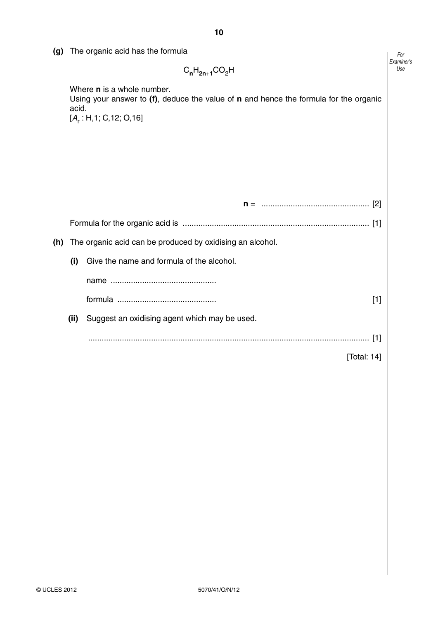*Examiner's Use* C**n**H**2n**+**1**CO2H Where **n** is a whole number. Using your answer to **(f)**, deduce the value of **n** and hence the formula for the organic acid. [*A*<sup>r</sup> : H,1; C,12; O,16]  **n** = ................................................ [2] Formula for the organic acid is ................................................................................... [1]  **(h)** The organic acid can be produced by oxidising an alcohol.  **(i)** Give the name and formula of the alcohol. name ............................................... formula ............................................ [1]  **(ii)** Suggest an oxidising agent which may be used. ............................................................................................................................. [1] [Total: 14]

 **(g)** The organic acid has the formula

*For*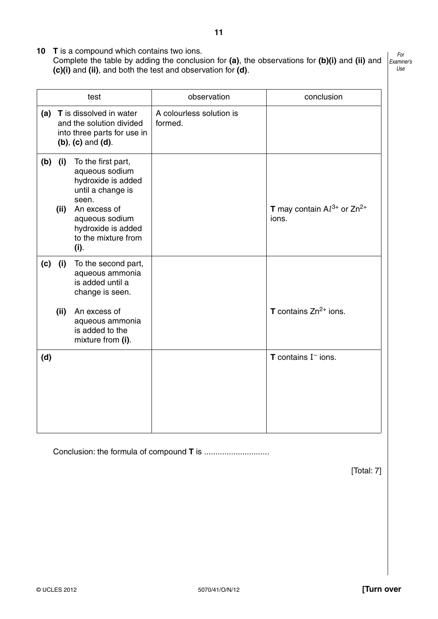| © UCLES 2012 | 5070/41/O/N/12 | [Turn over |
|--------------|----------------|------------|

| ______<br><b>Contract Contract</b> | <b>CONTRACTOR</b> |  |
|------------------------------------|-------------------|--|
|                                    |                   |  |
|                                    |                   |  |
|                                    |                   |  |
|                                    |                   |  |
|                                    |                   |  |
|                                    |                   |  |

**10 T** is a compound which contains two ions. Complete the table by adding the conclusion for **(a)**, the observations for **(b)(i)** and **(ii)** and **(c)(i)** and **(ii)**, and both the test and observation for **(d)**.

*For Examiner's Use*

| test |                                                                                                                        |                                                                                                                                                                                 | observation                         | conclusion                                           |
|------|------------------------------------------------------------------------------------------------------------------------|---------------------------------------------------------------------------------------------------------------------------------------------------------------------------------|-------------------------------------|------------------------------------------------------|
| (a)  | <b>T</b> is dissolved in water<br>and the solution divided<br>into three parts for use in<br>$(b)$ , $(c)$ and $(d)$ . |                                                                                                                                                                                 | A colourless solution is<br>formed. |                                                      |
|      | $(b)$ $(i)$<br>(ii)                                                                                                    | To the first part,<br>aqueous sodium<br>hydroxide is added<br>until a change is<br>seen.<br>An excess of<br>aqueous sodium<br>hydroxide is added<br>to the mixture from<br>(i). |                                     | <b>T</b> may contain $Al^{3+}$ or $Zn^{2+}$<br>ions. |
| (c)  | (i)<br>(ii)                                                                                                            | To the second part,<br>aqueous ammonia<br>is added until a<br>change is seen.<br>An excess of<br>aqueous ammonia<br>is added to the<br>mixture from (i).                        |                                     | <b>T</b> contains $Zn^{2+}$ ions.                    |
| (d)  |                                                                                                                        |                                                                                                                                                                                 |                                     | <b>T</b> contains $I^-$ ions.                        |

Conclusion: the formula of compound **T** is .............................

[Total: 7]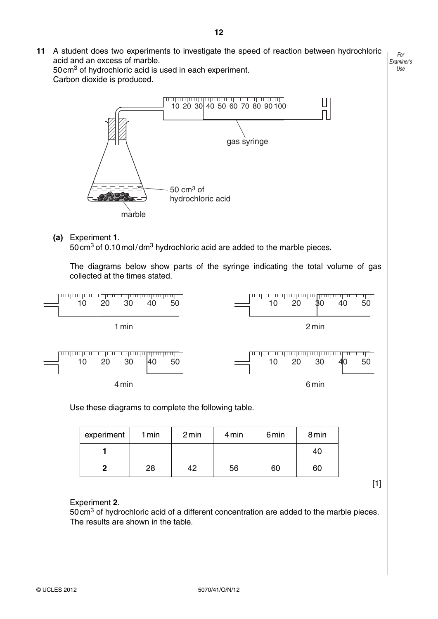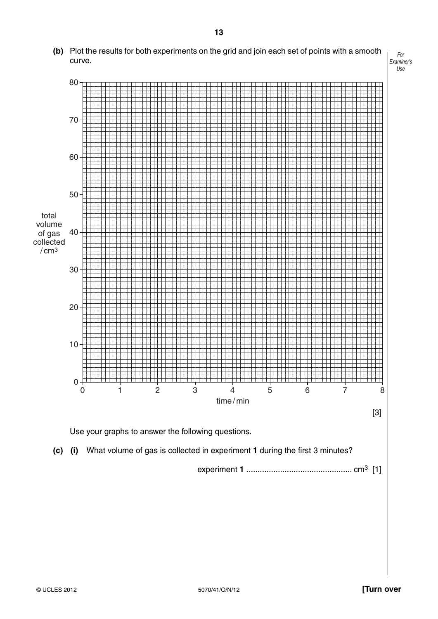80 70 60 50 total volume 40 of gas collected  $/cm<sup>3</sup>$ 30 20 10  $0<sup>1</sup>$ <del>╎╎╎╎╎╎╎╎╎╎╏╏╏╎╎╎╎╎╎╎╎╎╎╎╎╎╎╎╎╎╎╎╏╎╎╎╎╎</del>╎┼┼┼ <del>╷╷╷╷╷╷╷╷╷╷╷╷╷╷╷╷╷╷╷╷╷╷╷╷╷╷╷</del>  $\pm\pm\pm$ 0 1 2 3 4 5 6 7 8 time/ min [3] Use your graphs to answer the following questions.

*For Examiner's Use*

 **(c) (i)** What volume of gas is collected in experiment **1** during the first 3 minutes?

experiment **1** ............................................... cm3 [1]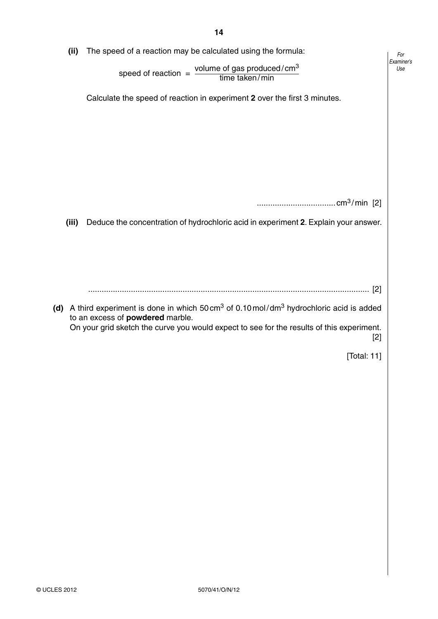| (ii)  | The speed of a reaction may be calculated using the formula:                                                                                        | For               |
|-------|-----------------------------------------------------------------------------------------------------------------------------------------------------|-------------------|
|       | speed of reaction = $\frac{\text{volume of gas produced/cm}^3}{\text{time taken/min}}$                                                              | Examiner's<br>Use |
|       | Calculate the speed of reaction in experiment 2 over the first 3 minutes.                                                                           |                   |
|       |                                                                                                                                                     |                   |
|       |                                                                                                                                                     |                   |
|       |                                                                                                                                                     |                   |
|       |                                                                                                                                                     |                   |
| (iii) | Deduce the concentration of hydrochloric acid in experiment 2. Explain your answer.                                                                 |                   |
|       |                                                                                                                                                     |                   |
|       |                                                                                                                                                     |                   |
|       |                                                                                                                                                     |                   |
|       | (d) A third experiment is done in which $50 \text{ cm}^3$ of $0.10 \text{ mol/dm}^3$ hydrochloric acid is added<br>to an excess of powdered marble. |                   |
|       | On your grid sketch the curve you would expect to see for the results of this experiment.<br>$[2]$                                                  |                   |
|       | [Total: $11$ ]                                                                                                                                      |                   |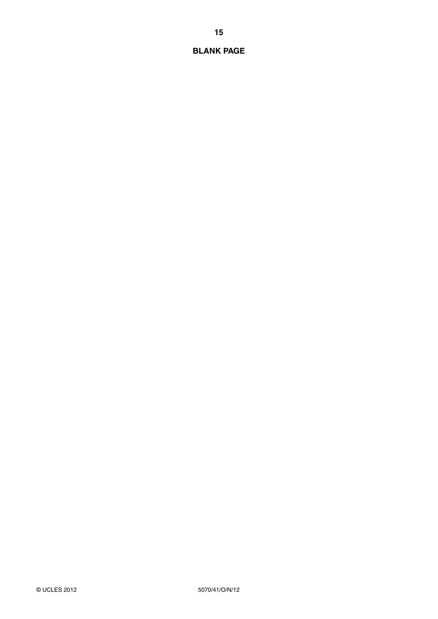## **BLANK PAGE**